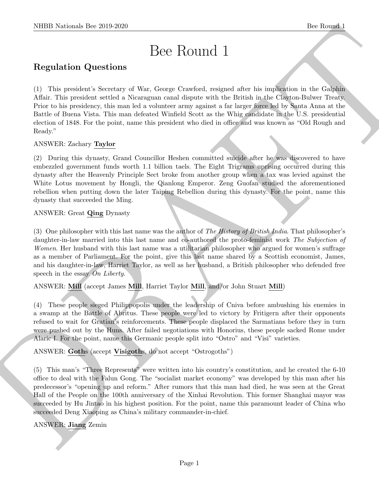# Bee Round 1

# Regulation Questions

NIBB Noticeal- her 20.9.259<br>
Disc Round II<br>
Regulation Questions<br>
Disc Round II<br>
Regulation Questions<br>
Disc Round II<br>
Consider the problem is the considered state and the consideration of the disc model<br>
and a this proble (1) This president's Secretary of War, George Crawford, resigned after his implication in the Galphin Affair. This president settled a Nicaraguan canal dispute with the British in the Clayton-Bulwer Treaty. Prior to his presidency, this man led a volunteer army against a far larger force led by Santa Anna at the Battle of Buena Vista. This man defeated Winfield Scott as the Whig candidate in the U.S. presidential election of 1848. For the point, name this president who died in office and was known as "Old Rough and Ready."

#### ANSWER: Zachary Taylor

(2) During this dynasty, Grand Councillor Heshen committed suicide after he was discovered to have embezzled government funds worth 1.1 billion taels. The Eight Trigrams uprising occurred during this dynasty after the Heavenly Principle Sect broke from another group when a tax was levied against the White Lotus movement by Hongli, the Qianlong Emperor. Zeng Guofan studied the aforementioned rebellion when putting down the later Taiping Rebellion during this dynasty. For the point, name this dynasty that succeeded the Ming.

# ANSWER: Great Qing Dynasty

(3) One philosopher with this last name was the author of The History of British India. That philosopher's daughter-in-law married into this last name and co-authored the proto-feminist work The Subjection of Women. Her husband with this last name was a utilitarian philosopher who argued for women's suffrage as a member of Parliament. For the point, give this last name shared by a Scottish economist, James, and his daughter-in-law, Harriet Taylor, as well as her husband, a British philosopher who defended free speech in the essay On Liberty.

# ANSWER: Mill (accept James Mill, Harriet Taylor Mill, and/or John Stuart Mill)

(4) These people sieged Philippopolis under the leadership of Cniva before ambushing his enemies in a swamp at the Battle of Abritus. These people were led to victory by Fritigern after their opponents refused to wait for Gratian's reinforcements. These people displaced the Sarmatians before they in turn were pushed out by the Huns. After failed negotiations with Honorius, these people sacked Rome under Alaric I. For the point, name this Germanic people split into "Ostro" and "Visi" varieties.

ANSWER: Goths (accept Visigoths, do not accept "Ostrogoths")

(5) This man's "Three Represents" were written into his country's constitution, and he created the 6-10 office to deal with the Falun Gong. The "socialist market economy" was developed by this man after his predecessor's "opening up and reform." After rumors that this man had died, he was seen at the Great Hall of the People on the 100th anniversary of the Xinhai Revolution. This former Shanghai mayor was succeeded by Hu Jintao in his highest position. For the point, name this paramount leader of China who succeeded Deng Xiaoping as China's military commander-in-chief.

# ANSWER: Jiang Zemin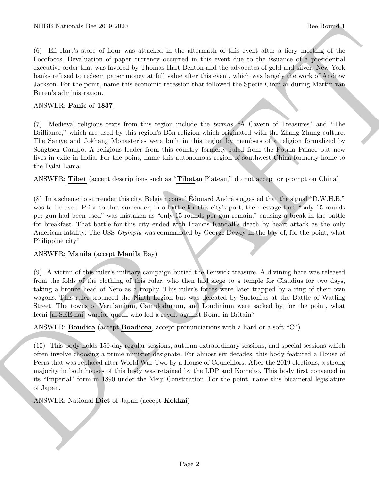(6) Eli Hart's store of flour was attacked in the aftermath of this event after a fiery meeting of the Locofocos. Devaluation of paper currency occurred in this event due to the issuance of a presidential executive order that was favored by Thomas Hart Benton and the advocates of gold and silver. New York banks refused to redeem paper money at full value after this event, which was largely the work of Andrew Jackson. For the point, name this economic recession that followed the Specie Circular during Martin van Buren's administration.

#### ANSWER: Panic of 1837

(7) Medieval religious texts from this region include the termas "A Cavern of Treasures" and "The Brilliance," which are used by this region's Bön religion which originated with the Zhang Zhung culture. The Samye and Jokhang Monasteries were built in this region by members of a religion formalized by Songtsen Gampo. A religious leader from this country formerly ruled from the Potala Palace but now lives in exile in India. For the point, name this autonomous region of southwest China formerly home to the Dalai Lama.

ANSWER: Tibet (accept descriptions such as "Tibetan Plateau," do not accept or prompt on China)

(8) In a scheme to surrender this city, Belgian consul Edouard André suggested that the signal "D.W.H.B." was to be used. Prior to that surrender, in a battle for this city's port, the message that "only 15 rounds per gun had been used" was mistaken as "only 15 rounds per gun remain," causing a break in the battle for breakfast. That battle for this city ended with Francis Randall's death by heart attack as the only American fatality. The USS *Olympia* was commanded by George Dewey in the bay of, for the point, what Philippine city?

#### ANSWER: Manila (accept Manila Bay)

(9) A victim of this ruler's military campaign buried the Fenwick treasure. A divining hare was released from the folds of the clothing of this ruler, who then laid siege to a temple for Claudius for two days, taking a bronze head of Nero as a trophy. This ruler's forces were later trapped by a ring of their own wagons. This ruler trounced the Ninth Legion but was defeated by Suetonius at the Battle of Watling Street. The towns of Verulamium, Camulodunum, and Londinium were sacked by, for the point, what Iceni [ai-SEE-nai] warrior queen who led a revolt against Rome in Britain?

ANSWER: Boudica (accept Boadicea, accept pronunciations with a hard or a soft "C")

NIBB Noticeals line 2019.269<br>(c) ERIS Statistics (for an associated in the aformation different words when the based of the form of the projection<br>of the form of the state of form of the state and the state of the state o (10) This body holds 150-day regular sessions, autumn extraordinary sessions, and special sessions which often involve choosing a prime minister-designate. For almost six decades, this body featured a House of Peers that was replaced after World War Two by a House of Councillors. After the 2019 elections, a strong majority in both houses of this body was retained by the LDP and Komeito. This body first convened in its "Imperial" form in 1890 under the Meiji Constitution. For the point, name this bicameral legislature of Japan.

ANSWER: National Diet of Japan (accept Kokkai)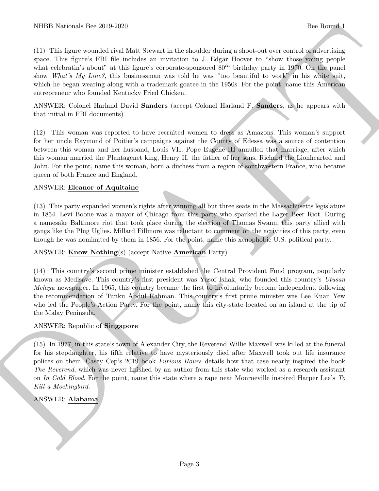(11) This figure wounded rival Matt Stewart in the shoulder during a shoot-out over control of advertising space. This figure's FBI file includes an invitation to J. Edgar Hoover to "show those young people what celebratin's about" at this figure's corporate-sponsored  $80^{th}$  birthday party in 1970. On the panel show What's My Line?, this businessman was told he was "too beautiful to work" in his white suit, which he began wearing along with a trademark goatee in the 1950s. For the point, name this American entrepreneur who founded Kentucky Fried Chicken.

ANSWER: Colonel Harland David Sanders (accept Colonel Harland F. Sanders, as he appears with that initial in FBI documents)

(12) This woman was reported to have recruited women to dress as Amazons. This woman's support for her uncle Raymond of Poitier's campaigns against the County of Edessa was a source of contention between this woman and her husband, Louis VII. Pope Eugene III annulled that marriage, after which this woman married the Plantagenet king, Henry II, the father of her sons, Richard the Lionhearted and John. For the point, name this woman, born a duchess from a region of southwestern France, who became queen of both France and England.

#### ANSWER: Eleanor of Aquitaine

(13) This party expanded women's rights after winning all but three seats in the Massachusetts legislature in 1854. Levi Boone was a mayor of Chicago from this party who sparked the Lager Beer Riot. During a namesake Baltimore riot that took place during the election of Thomas Swann, this party allied with gangs like the Plug Uglies. Millard Fillmore was reluctant to comment on the activities of this party, even though he was nominated by them in 1856. For the point, name this xenophobic U.S. political party.

#### ANSWER: Know Nothing(s) (accept Native American Party)

(14) This country's second prime minister established the Central Provident Fund program, popularly known as Medisave. This country's first president was Yusof Ishak, who founded this country's Utusan Melayu newspaper. In 1965, this country became the first to involuntarily become independent, following the recommendation of Tunku Abdul Rahman. This country's first prime minister was Lee Kuan Yew who led the People's Action Party. For the point, name this city-state located on an island at the tip of the Malay Peninsula.

#### ANSWER: Republic of Singapore

NIBB Noticeals line 2019.269<br>
(1) His then woundstrips of the bisolaristic distribution of the bisolary state of the control of the control of the state<br>
(ii) His then woundstrips about the state of the bisolary compared (15) In 1977, in this state's town of Alexander City, the Reverend Willie Maxwell was killed at the funeral for his stepdaughter, his fifth relative to have mysteriously died after Maxwell took out life insurance polices on them. Casey Cep's 2019 book Furious Hours details how that case nearly inspired the book The Reverend, which was never finished by an author from this state who worked as a research assistant on In Cold Blood. For the point, name this state where a rape near Monroeville inspired Harper Lee's To Kill a Mockingbird.

# ANSWER: Alabama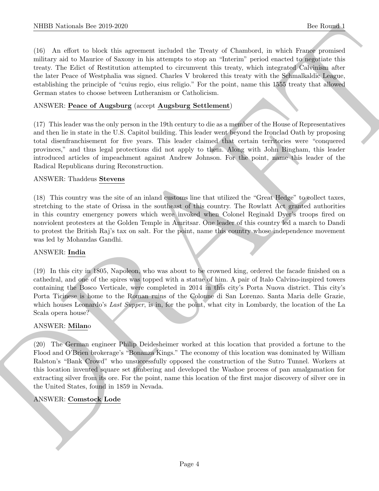(16) An effort to block this agreement included the Treaty of Chambord, in which France promised military aid to Maurice of Saxony in his attempts to stop an "Interim" period enacted to negotiate this treaty. The Edict of Restitution attempted to circumvent this treaty, which integrated Calvinism after the later Peace of Westphalia was signed. Charles V brokered this treaty with the Schmalkaldic League, establishing the principle of "cuius regio, eius religio." For the point, name this 1555 treaty that allowed German states to choose between Lutheranism or Catholicism.

#### ANSWER: Peace of Augsburg (accept Augsburg Settlement)

(17) This leader was the only person in the 19th century to die as a member of the House of Representatives and then lie in state in the U.S. Capitol building. This leader went beyond the Ironclad Oath by proposing total disenfranchisement for five years. This leader claimed that certain territories were "conquered provinces," and thus legal protections did not apply to them. Along with John Bingham, this leader introduced articles of impeachment against Andrew Johnson. For the point, name this leader of the Radical Republicans during Reconstruction.

#### ANSWER: Thaddeus Stevens

(18) This country was the site of an inland customs line that utilized the "Great Hedge" to collect taxes, stretching to the state of Orissa in the southeast of this country. The Rowlatt Act granted authorities in this country emergency powers which were invoked when Colonel Reginald Dyer's troops fired on nonviolent protesters at the Golden Temple in Amritsar. One leader of this country led a march to Dandi to protest the British Raj's tax on salt. For the point, name this country whose independence movement was led by Mohandas Gandhi.

#### ANSWER: India

(19) In this city in 1805, Napoleon, who was about to be crowned king, ordered the facade finished on a cathedral, and one of the spires was topped with a statue of him. A pair of Italo Calvino-inspired towers containing the Bosco Verticale, were completed in 2014 in this city's Porta Nuova district. This city's Porta Ticinese is home to the Roman ruins of the Colonne di San Lorenzo. Santa Maria delle Grazie, which houses Leonardo's Last Supper, is in, for the point, what city in Lombardy, the location of the La Scala opera house?

#### ANSWER: Milano

NIBB Noticeals line 200 200<br>
The Rounds line is a<br>summan included the lines of Clearatest in which the control of the Secondary in the<br>distribution of the Secondary of the Secondary intervention of the season of<br>the secon (20) The German engineer Philip Deidesheimer worked at this location that provided a fortune to the Flood and O'Brien brokerage's "Bonanza Kings." The economy of this location was dominated by William Ralston's "Bank Crowd" who unsuccessfully opposed the construction of the Sutro Tunnel. Workers at this location invented square set timbering and developed the Washoe process of pan amalgamation for extracting silver from its ore. For the point, name this location of the first major discovery of silver ore in the United States, found in 1859 in Nevada.

#### ANSWER: Comstock Lode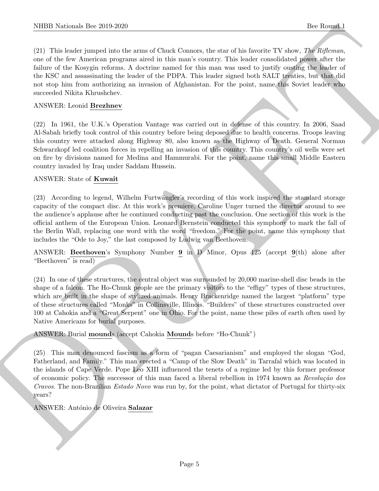(21) This leader jumped into the arms of Chuck Connors, the star of his favorite TV show, The Rifleman, one of the few American programs aired in this man's country. This leader consolidated power after the failure of the Kosygin reforms. A doctrine named for this man was used to justify ousting the leader of the KSC and assassinating the leader of the PDPA. This leader signed both SALT treaties, but that did not stop him from authorizing an invasion of Afghanistan. For the point, name this Soviet leader who succeeded Nikita Khrushchev.

#### ANSWER: Leonid Brezhnev

(22) In 1961, the U.K.'s Operation Vantage was carried out in defense of this country. In 2006, Saad Al-Sabah briefly took control of this country before being deposed due to health concerns. Troops leaving this country were attacked along Highway 80, also known as the Highway of Death. General Norman Schwarzkopf led coalition forces in repelling an invasion of this country. This country's oil wells were set on fire by divisions named for Medina and Hammurabi. For the point, name this small Middle Eastern country invaded by Iraq under Saddam Hussein.

#### ANSWER: State of Kuwait

(23) According to legend, Wilhelm Furtwängler's recording of this work inspired the standard storage capacity of the compact disc. At this work's premiere, Caroline Unger turned the director around to see the audience's applause after he continued conducting past the conclusion. One section of this work is the official anthem of the European Union. Leonard Bernstein conducted this symphony to mark the fall of the Berlin Wall, replacing one word with the word "freedom." For the point, name this symphony that includes the "Ode to Joy," the last composed by Ludwig van Beethoven.

ANSWER: Beethoven's Symphony Number 9 in D Minor, Opus 125 (accept 9(th) alone after "Beethoven" is read)

(24) In one of these structures, the central object was surrounded by 20,000 marine-shell disc beads in the shape of a falcon. The Ho-Chunk people are the primary visitors to the "effigy" types of these structures, which are built in the shape of stylized animals. Henry Brackenridge named the largest "platform" type of these structures called "Monks" in Collinsville, Illinois. "Builders" of these structures constructed over 100 at Cahokia and a "Great Serpent" one in Ohio. For the point, name these piles of earth often used by Native Americans for burial purposes.

ANSWER: Burial mounds (accept Cahokia Mounds before "Ho-Chunk")

NIBB Noticeals line 200 200<br>
(2) This best interesting to the contract the statistical factors of the force<br>
(2) The lower interesting interesting interesting into the statistical factors of the force<br>
control of the stat (25) This man denounced fascism as a form of "pagan Caesarianism" and employed the slogan "God, Fatherland, and Family." This man erected a "Camp of the Slow Death" in Tarrafal which was located in the islands of Cape Verde. Pope Leo XIII influenced the tenets of a regime led by this former professor of economic policy. The successor of this man faced a liberal rebellion in 1974 known as  $Revolu\tilde{a}\tilde{o}$  dos Cravos. The non-Brazilian Estado Novo was run by, for the point, what dictator of Portugal for thirty-six years?

ANSWER: António de Oliveira Salazar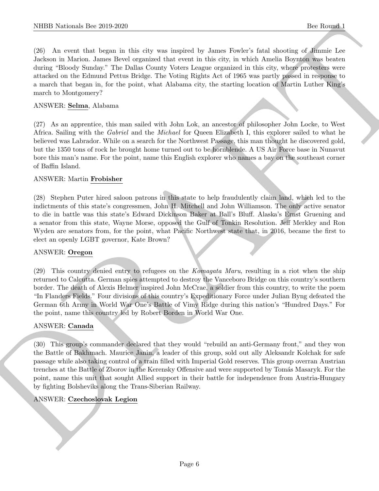(26) An event that began in this city was inspired by James Fowler's fatal shooting of Jimmie Lee Jackson in Marion. James Bevel organized that event in this city, in which Amelia Boynton was beaten during "Bloody Sunday." The Dallas County Voters League organized in this city, where protesters were attacked on the Edmund Pettus Bridge. The Voting Rights Act of 1965 was partly passed in response to a march that began in, for the point, what Alabama city, the starting location of Martin Luther King's march to Montgomery?

#### ANSWER: Selma, Alabama

(27) As an apprentice, this man sailed with John Lok, an ancestor of philosopher John Locke, to West Africa. Sailing with the Gabriel and the Michael for Queen Elizabeth I, this explorer sailed to what he believed was Labrador. While on a search for the Northwest Passage, this man thought he discovered gold, but the 1350 tons of rock he brought home turned out to be hornblende. A US Air Force base in Nunavut bore this man's name. For the point, name this English explorer who names a bay on the southeast corner of Baffin Island.

#### ANSWER: Martin Frobisher

(28) Stephen Puter hired saloon patrons in this state to help fraudulently claim land, which led to the indictments of this state's congressmen, John H. Mitchell and John Williamson. The only active senator to die in battle was this state's Edward Dickinson Baker at Ball's Bluff. Alaska's Ernst Gruening and a senator from this state, Wayne Morse, opposed the Gulf of Tonkin Resolution. Jeff Merkley and Ron Wyden are senators from, for the point, what Pacific Northwest state that, in 2016, became the first to elect an openly LGBT governor, Kate Brown?

#### ANSWER: Oregon

(29) This country denied entry to refugees on the Komagata Maru, resulting in a riot when the ship returned to Calcutta. German spies attempted to destroy the Vanceboro Bridge on this country's southern border. The death of Alexis Helmer inspired John McCrae, a soldier from this country, to write the poem "In Flanders Fields." Four divisions of this country's Expeditionary Force under Julian Byng defeated the German 6th Army in World War One's Battle of Vimy Ridge during this nation's "Hundred Days." For the point, name this country led by Robert Borden in World War One.

#### ANSWER: Canada

NIBB Noticeals line 200 200<br>
200 African distribution of the state of passes line in the South distribution of the Books of African distribution<br>
201 African state is the state of the state of the state is a state of the (30) This group's commander declared that they would "rebuild an anti-Germany front," and they won the Battle of Bakhmach. Maurice Janin, a leader of this group, sold out ally Aleksandr Kolchak for safe passage while also taking control of a train filled with Imperial Gold reserves. This group overran Austrian trenches at the Battle of Zborov in the Kerensky Offensive and were supported by Tomás Masaryk. For the point, name this unit that sought Allied support in their battle for independence from Austria-Hungary by fighting Bolsheviks along the Trans-Siberian Railway.

#### ANSWER: Czechoslovak Legion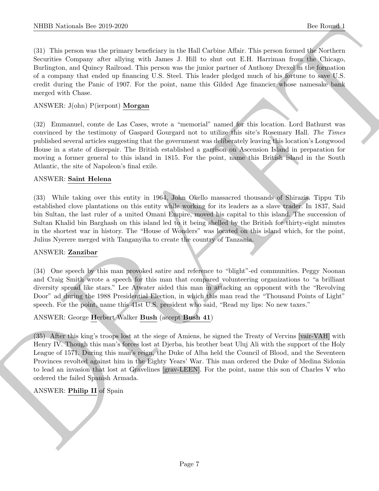NIBB Notionals line 2019.269<br>
(b) Line means by phases burshinks in the Holl Colline Allie. This permutation (For Round)<br>
(c) Line means we can be phased burshinks in the Holl Colline Allie. This means the colline of Noti (31) This person was the primary beneficiary in the Hall Carbine Affair. This person formed the Northern Securities Company after allying with James J. Hill to shut out E.H. Harriman from the Chicago, Burlington, and Quincy Railroad. This person was the junior partner of Anthony Drexel in the formation of a company that ended up financing U.S. Steel. This leader pledged much of his fortune to save U.S. credit during the Panic of 1907. For the point, name this Gilded Age financier whose namesake bank merged with Chase.

#### ANSWER: J(ohn) P(ierpont) Morgan

(32) Emmanuel, comte de Las Cases, wrote a "memorial" named for this location. Lord Bathurst was convinced by the testimony of Gaspard Gourgard not to utilize this site's Rosemary Hall. The Times published several articles suggesting that the government was deliberately leaving this location's Longwood House in a state of disrepair. The British established a garrison on Ascension Island in preparation for moving a former general to this island in 1815. For the point, name this British island in the South Atlantic, the site of Napoleon's final exile.

#### ANSWER: Saint Helena

(33) While taking over this entity in 1964, John Okello massacred thousands of Shirazis. Tippu Tib established clove plantations on this entity while working for its leaders as a slave trader. In 1837, Said bin Sultan, the last ruler of a united Omani Empire, moved his capital to this island. The succession of Sultan Khalid bin Barghash on this island led to it being shelled by the British for thirty-eight minutes in the shortest war in history. The "House of Wonders" was located on this island which, for the point, Julius Nyerere merged with Tanganyika to create the country of Tanzania.

#### ANSWER: Zanzibar

(34) One speech by this man provoked satire and reference to "blight"-ed communities. Peggy Noonan and Craig Smith wrote a speech for this man that compared volunteering organizations to "a brilliant diversity spread like stars." Lee Atwater aided this man in attacking an opponent with the "Revolving Door" ad during the 1988 Presidential Election, in which this man read the "Thousand Points of Light" speech. For the point, name this 41st U.S. president who said, "Read my lips: No new taxes."

#### ANSWER: George Herbert Walker Bush (accept Bush 41)

(35) After this king's troops lost at the siege of Amiens, he signed the Treaty of Vervins [vair-VAH] with Henry IV. Though this man's forces lost at Djerba, his brother beat Uluj Ali with the support of the Holy League of 1571. During this man's reign, the Duke of Alba held the Council of Blood, and the Seventeen Provinces revolted against him in the Eighty Years' War. This man ordered the Duke of Medina Sidonia to lead an invasion that lost at Gravelines [grav-LEEN]. For the point, name this son of Charles V who ordered the failed Spanish Armada.

# ANSWER: Philip II of Spain